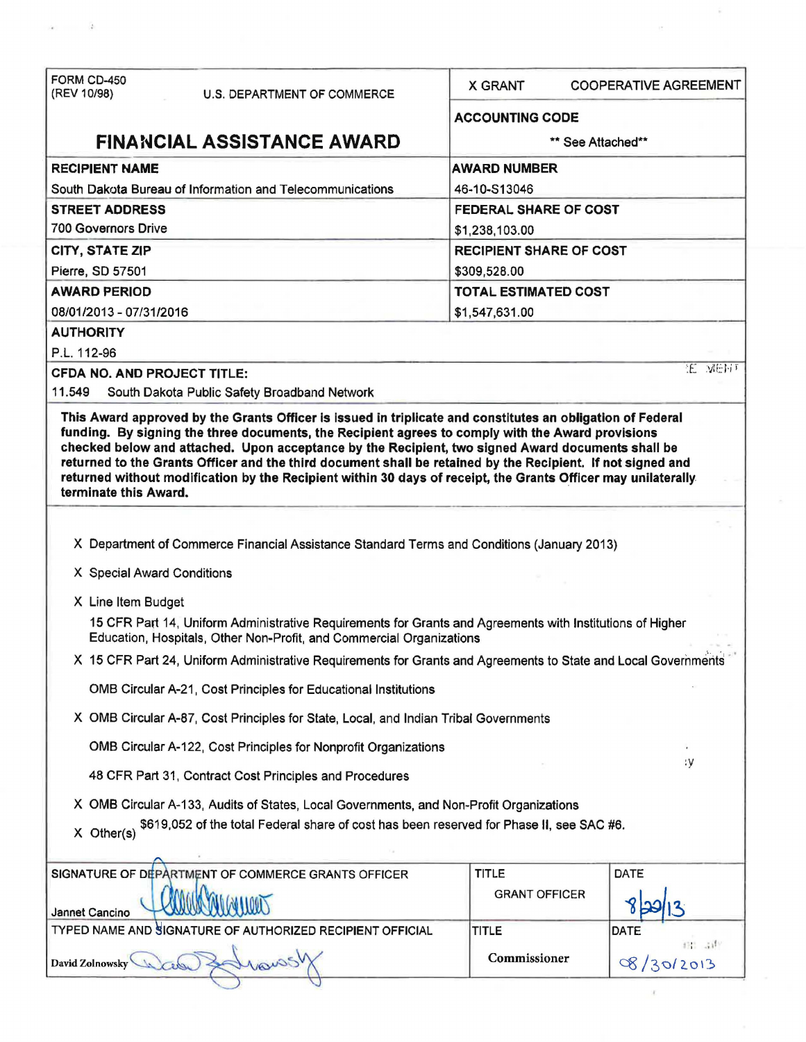| FORM CD-450<br>(REV 10/98)<br><b>U.S. DEPARTMENT OF COMMERCE</b>                                                                                                                  | <b>X GRANT</b><br><b>COOPERATIVE AGREEMENT</b> |               |  |
|-----------------------------------------------------------------------------------------------------------------------------------------------------------------------------------|------------------------------------------------|---------------|--|
|                                                                                                                                                                                   | <b>ACCOUNTING CODE</b>                         |               |  |
| <b>FINANCIAL ASSISTANCE AWARD</b>                                                                                                                                                 | ** See Attached**                              |               |  |
| <b>RECIPIENT NAME</b>                                                                                                                                                             | <b>AWARD NUMBER</b>                            |               |  |
| South Dakota Bureau of Information and Telecommunications                                                                                                                         | 46-10-S13046                                   |               |  |
| <b>STREET ADDRESS</b>                                                                                                                                                             | <b>FEDERAL SHARE OF COST</b>                   |               |  |
| <b>700 Governors Drive</b>                                                                                                                                                        | \$1,238,103.00                                 |               |  |
| <b>CITY, STATE ZIP</b>                                                                                                                                                            | <b>RECIPIENT SHARE OF COST</b>                 |               |  |
| Pierre, SD 57501                                                                                                                                                                  | \$309,528.00                                   |               |  |
| <b>AWARD PERIOD</b>                                                                                                                                                               | <b>TOTAL ESTIMATED COST</b>                    |               |  |
| 08/01/2013 - 07/31/2016                                                                                                                                                           | \$1,547,631.00                                 |               |  |
| <b>AUTHORITY</b>                                                                                                                                                                  |                                                |               |  |
| P.L. 112-96                                                                                                                                                                       |                                                | <b>E MENT</b> |  |
| <b>CFDA NO. AND PROJECT TITLE:</b>                                                                                                                                                |                                                |               |  |
| 11.549<br>South Dakota Public Safety Broadband Network                                                                                                                            |                                                |               |  |
| returned without modification by the Recipient within 30 days of receipt, the Grants Officer may unilaterally<br>terminate this Award.                                            |                                                |               |  |
|                                                                                                                                                                                   |                                                |               |  |
| X Department of Commerce Financial Assistance Standard Terms and Conditions (January 2013)                                                                                        |                                                |               |  |
| X Special Award Conditions                                                                                                                                                        |                                                |               |  |
| X Line Item Budget                                                                                                                                                                |                                                |               |  |
| 15 CFR Part 14, Uniform Administrative Requirements for Grants and Agreements with Institutions of Higher<br>Education, Hospitals, Other Non-Profit, and Commercial Organizations |                                                |               |  |
| X 15 CFR Part 24, Uniform Administrative Requirements for Grants and Agreements to State and Local Governments                                                                    |                                                |               |  |
| OMB Circular A-21, Cost Principles for Educational Institutions                                                                                                                   |                                                |               |  |
| X OMB Circular A-87, Cost Principles for State, Local, and Indian Tribal Governments                                                                                              |                                                |               |  |
| OMB Circular A-122, Cost Principles for Nonprofit Organizations                                                                                                                   |                                                |               |  |
| 48 CFR Part 31, Contract Cost Principles and Procedures                                                                                                                           | ١y                                             |               |  |
| X OMB Circular A-133, Audits of States, Local Governments, and Non-Profit Organizations                                                                                           |                                                |               |  |
| \$619,052 of the total Federal share of cost has been reserved for Phase II, see SAC #6.<br>X Other(s)                                                                            |                                                |               |  |
|                                                                                                                                                                                   | <b>TITLE</b><br>DATE                           |               |  |
|                                                                                                                                                                                   | <b>GRANT OFFICER</b>                           |               |  |
| SIGNATURE OF DEPARTMENT OF COMMERCE GRANTS OFFICER<br>Jannet Cancino<br>TYPED NAME AND SIGNATURE OF AUTHORIZED RECIPIENT OFFICIAL                                                 | <b>TITLE</b><br>DATE                           |               |  |

 $\alpha_1,\ldots,\alpha_k$ 

 $\frac{1}{2}$ 

 $\frac{1}{2}$